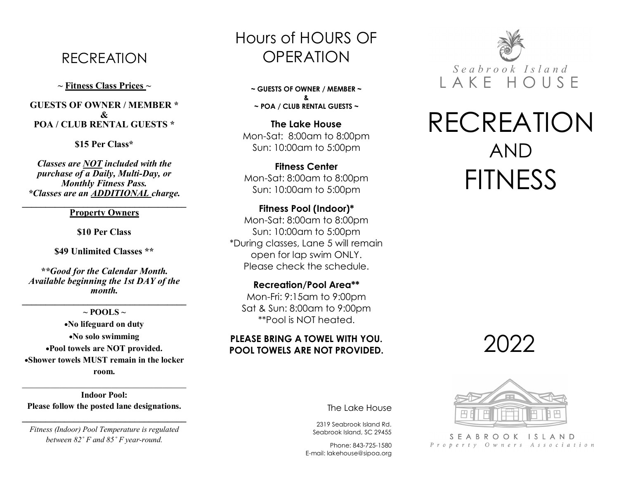# RECREATION

**~ Fitness Class Prices ~**

#### **GUESTS OF OWNER / MEMBER \* & POA / CLUB RENTAL GUESTS \***

**\$15 Per Class\***

*Classes are NOT included with the purchase of a Daily, Multi-Day, or Monthly Fitness Pass. \*Classes are an ADDITIONAL charge.*

 $\mathcal{L} = \{ \mathcal{L} \}$ **Property Owners** 

**\$10 Per Class**

**\$49 Unlimited Classes \*\***

*\*\*Good for the Calendar Month. Available beginning the 1st DAY of the month.*

**\_\_\_\_\_\_\_\_\_\_\_\_\_\_\_\_\_\_\_\_\_\_\_\_\_\_\_\_\_\_\_\_\_\_\_**

 $\sim$  **POOLS**  $\sim$ •**No lifeguard on duty** •**No solo swimming** •**Pool towels are NOT provided.**  •**Shower towels MUST remain in the locker room.**

**Indoor Pool: Please follow the posted lane designations.**

*Fitness (Indoor) Pool Temperature is regulated between 82˚ F and 85˚ F year-round.*

**\_\_\_\_\_\_\_\_\_\_\_\_\_\_\_\_\_\_\_\_\_\_\_\_\_\_\_\_\_\_\_\_\_\_\_**

# Hours of HOURS OF OPERATION

**~ GUESTS OF OWNER / MEMBER ~ & ~ POA / CLUB RENTAL GUESTS ~**

**The Lake House** Mon-Sat: 8:00am to 8:00pm Sun: 10:00am to 5:00pm

**Fitness Center** Mon-Sat: 8:00am to 8:00pm Sun: 10:00am to 5:00pm

**Fitness Pool (Indoor)\*** Mon-Sat: 8:00am to 8:00pm Sun: 10:00am to 5:00pm \*During classes, Lane 5 will remain open for lap swim ONLY. Please check the schedule.

**Recreation/Pool Area\*\*** Mon-Fri: 9:15am to 9:00pm Sat & Sun: 8:00am to 9:00pm \*\*Pool is NOT heated.

# **PLEASE BRING A TOWEL WITH YOU. POOL TOWELS ARE NOT PROVIDED.**



# RECREATION AND **FITNESS**

'ノ( )'ノ'ノ



SEABROOK ISLAND Property Owners Association

#### The Lake House

2319 Seabrook Island Rd. Seabrook Island, SC 29455

Phone: 843-725-1580 E-mail: lakehouse@sipoa.org